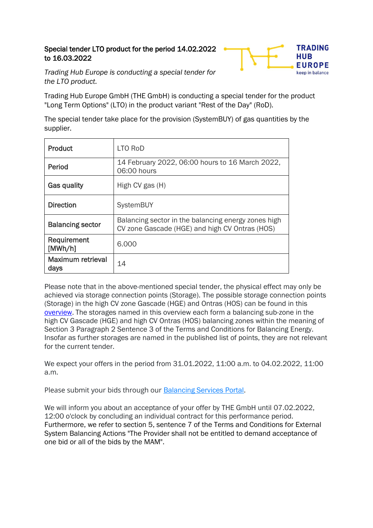## Special tender LTO product for the period 14.02.2022 to 16.03.2022



*Trading Hub Europe is conducting a special tender for the LTO product.*

Trading Hub Europe GmbH (THE GmbH) is conducting a special tender for the product "Long Term Options" (LTO) in the product variant "Rest of the Day" (RoD).

The special tender take place for the provision (SystemBUY) of gas quantities by the supplier.

| Product                   | LTO RoD                                                                                               |
|---------------------------|-------------------------------------------------------------------------------------------------------|
| Period                    | 14 February 2022, 06:00 hours to 16 March 2022,<br>06:00 hours                                        |
| <b>Gas quality</b>        | High CV gas (H)                                                                                       |
| <b>Direction</b>          | <b>SystemBUY</b>                                                                                      |
| <b>Balancing sector</b>   | Balancing sector in the balancing energy zones high<br>CV zone Gascade (HGE) and high CV Ontras (HOS) |
| Requirement<br>[MWh/h]    | 6.000                                                                                                 |
| Maximum retrieval<br>days | 14                                                                                                    |

Please note that in the above-mentioned special tender, the physical effect may only be achieved via storage connection points (Storage). The possible storage connection points (Storage) in the high CV zone Gascade (HGE) and Ontras (HOS) can be found in this [overview.](https://www.tradinghub.eu/Portals/0/allg.%20Dokumente%20RE/Sonderausschreibung%20LTO/220127_Sonderausschreibungen%20LTO%20RoD%20Feb-Mrz%20Eng.pdf?ver=BYu9xgegd4O_a0vKe3D-zA%3d%3d) The storages named in this overview each form a balancing sub-zone in the high CV Gascade (HGE) and high CV Ontras (HOS) balancing zones within the meaning of Section 3 Paragraph 2 Sentence 3 of the Terms and Conditions for Balancing Energy. Insofar as further storages are named in the published list of points, they are not relevant for the current tender.

We expect your offers in the period from 31.01.2022, 11:00 a.m. to 04.02.2022, 11:00 a.m.

Please submit your bids through our [Balancing](https://regelenergie.edm.tradinghub.eu/emweb-theasp/login.xhtml?dswid=-9449) Services Portal.

We will inform you about an acceptance of your offer by THE GmbH until 07.02.2022, 12:00 o'clock by concluding an individual contract for this performance period. Furthermore, we refer to section 5, sentence 7 of the Terms and Conditions for External System Balancing Actions "The Provider shall not be entitled to demand acceptance of one bid or all of the bids by the MAM".